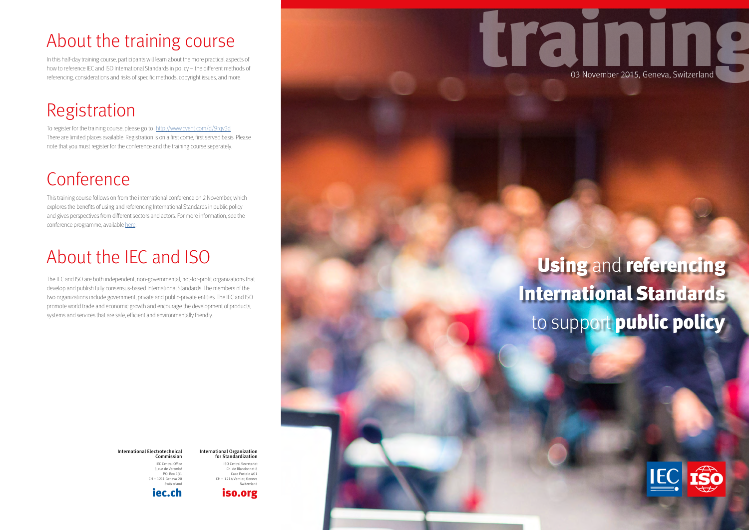**International Standards** to support **public in the support of the support** 

**policy**



## Using and referencing International Standards to support public policy

training 03 November 2015, Geneva, Switzerland

International Electrotechnical Commission IEC Central Office

3, rue de Varembé P.O. Box 131 CH – 1211 Geneva 20 Switzerland [iec.ch](www.iec.ch)

International Organization for Standardization ISO Central Secretariat Ch. de Blandonnet 8 Case Postale 401 CH – 1214 Vernier, Geneva Switzerland



### About the training course

In this half-day training course, participants will learn about the more practical aspects of how to reference IEC and ISO International Standards in policy – the different methods of referencing, considerations and risks of specific methods, copyright issues, and more.

#### Registration

To register for the training course, please go to:<http://www.cvent.com/d/9rqv3d> There are limited places available. Registration is on a first come, first served basis. Please note that you must register for the conference and the training course separately.

## Conference

This training course follows on from the international conference on 2 November, which explores the benefits of using and referencing International Standards in public policy and gives perspectives from different sectors and actors. For more information, see the conference programme, available [here](https://custom.cvent.com/75758B67B35D44E6974ED7484AAEE53B/files/b6753c97aadf40c4873a0f657ccb9c8b.pdf).

## About the IEC and ISO

The IEC and ISO are both independent, non-governmental, not-for-profit organizations that develop and publish fully consensus-based International Standards. The members of the two organizations include government, private and public-private entities. The IEC and ISO promote world trade and economic growth and encourage the development of products, systems and services that are safe, efficient and environmentally friendly.